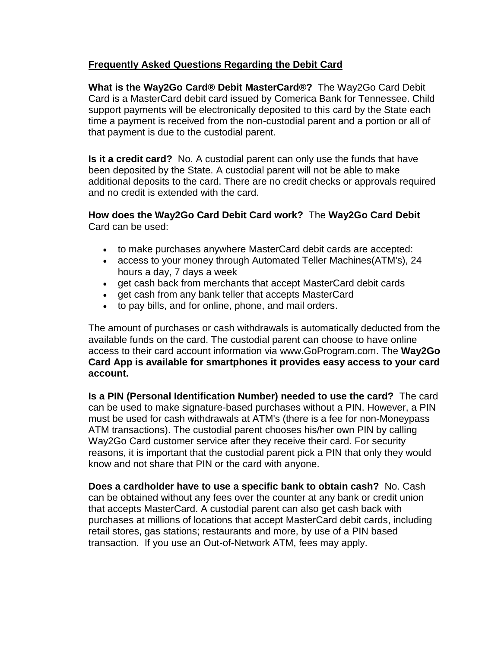## **Frequently Asked Questions Regarding the Debit Card**

**What is the Way2Go Card® Debit MasterCard®?** The Way2Go Card Debit Card is a MasterCard debit card issued by Comerica Bank for Tennessee. Child support payments will be electronically deposited to this card by the State each time a payment is received from the non-custodial parent and a portion or all of that payment is due to the custodial parent.

**Is it a credit card?** No. A custodial parent can only use the funds that have been deposited by the State. A custodial parent will not be able to make additional deposits to the card. There are no credit checks or approvals required and no credit is extended with the card.

## **How does the Way2Go Card Debit Card work?** The **Way2Go Card Debit**  Card can be used:

- to make purchases anywhere MasterCard debit cards are accepted:
- access to your money through Automated Teller Machines(ATM's), 24 hours a day, 7 days a week
- get cash back from merchants that accept MasterCard debit cards
- get cash from any bank teller that accepts MasterCard
- to pay bills, and for online, phone, and mail orders.

The amount of purchases or cash withdrawals is automatically deducted from the available funds on the card. The custodial parent can choose to have online access to their card account information via www.GoProgram.com. The **Way2Go Card App is available for smartphones it provides easy access to your card account.**

**Is a PIN (Personal Identification Number) needed to use the card?** The card can be used to make signature-based purchases without a PIN. However, a PIN must be used for cash withdrawals at ATM's (there is a fee for non-Moneypass ATM transactions). The custodial parent chooses his/her own PIN by calling Way2Go Card customer service after they receive their card. For security reasons, it is important that the custodial parent pick a PIN that only they would know and not share that PIN or the card with anyone.

**Does a cardholder have to use a specific bank to obtain cash?** No. Cash can be obtained without any fees over the counter at any bank or credit union that accepts MasterCard. A custodial parent can also get cash back with purchases at millions of locations that accept MasterCard debit cards, including retail stores, gas stations; restaurants and more, by use of a PIN based transaction. If you use an Out-of-Network ATM, fees may apply.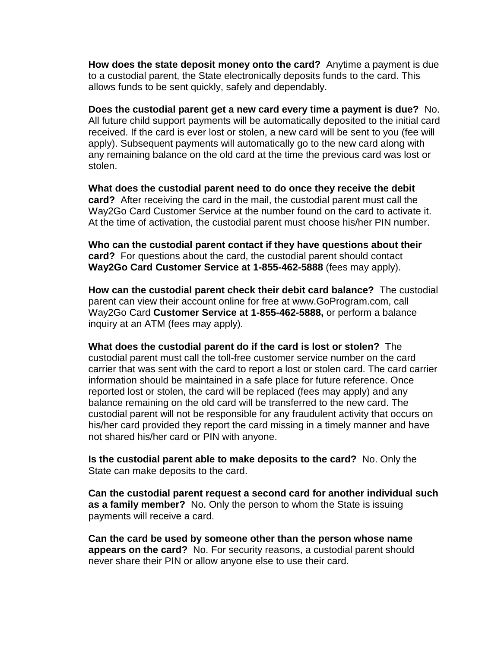**How does the state deposit money onto the card?** Anytime a payment is due to a custodial parent, the State electronically deposits funds to the card. This allows funds to be sent quickly, safely and dependably.

**Does the custodial parent get a new card every time a payment is due?** No. All future child support payments will be automatically deposited to the initial card received. If the card is ever lost or stolen, a new card will be sent to you (fee will apply). Subsequent payments will automatically go to the new card along with any remaining balance on the old card at the time the previous card was lost or stolen.

**What does the custodial parent need to do once they receive the debit card?** After receiving the card in the mail, the custodial parent must call the Way2Go Card Customer Service at the number found on the card to activate it. At the time of activation, the custodial parent must choose his/her PIN number.

**Who can the custodial parent contact if they have questions about their card?** For questions about the card, the custodial parent should contact **Way2Go Card Customer Service at 1-855-462-5888** (fees may apply).

**How can the custodial parent check their debit card balance?** The custodial parent can view their account online for free at www.GoProgram.com, call Way2Go Card **Customer Service at 1-855-462-5888,** or perform a balance inquiry at an ATM (fees may apply).

**What does the custodial parent do if the card is lost or stolen?** The custodial parent must call the toll-free customer service number on the card carrier that was sent with the card to report a lost or stolen card. The card carrier information should be maintained in a safe place for future reference. Once reported lost or stolen, the card will be replaced (fees may apply) and any balance remaining on the old card will be transferred to the new card. The custodial parent will not be responsible for any fraudulent activity that occurs on his/her card provided they report the card missing in a timely manner and have not shared his/her card or PIN with anyone.

**Is the custodial parent able to make deposits to the card?** No. Only the State can make deposits to the card.

**Can the custodial parent request a second card for another individual such as a family member?** No. Only the person to whom the State is issuing payments will receive a card.

**Can the card be used by someone other than the person whose name appears on the card?** No. For security reasons, a custodial parent should never share their PIN or allow anyone else to use their card.